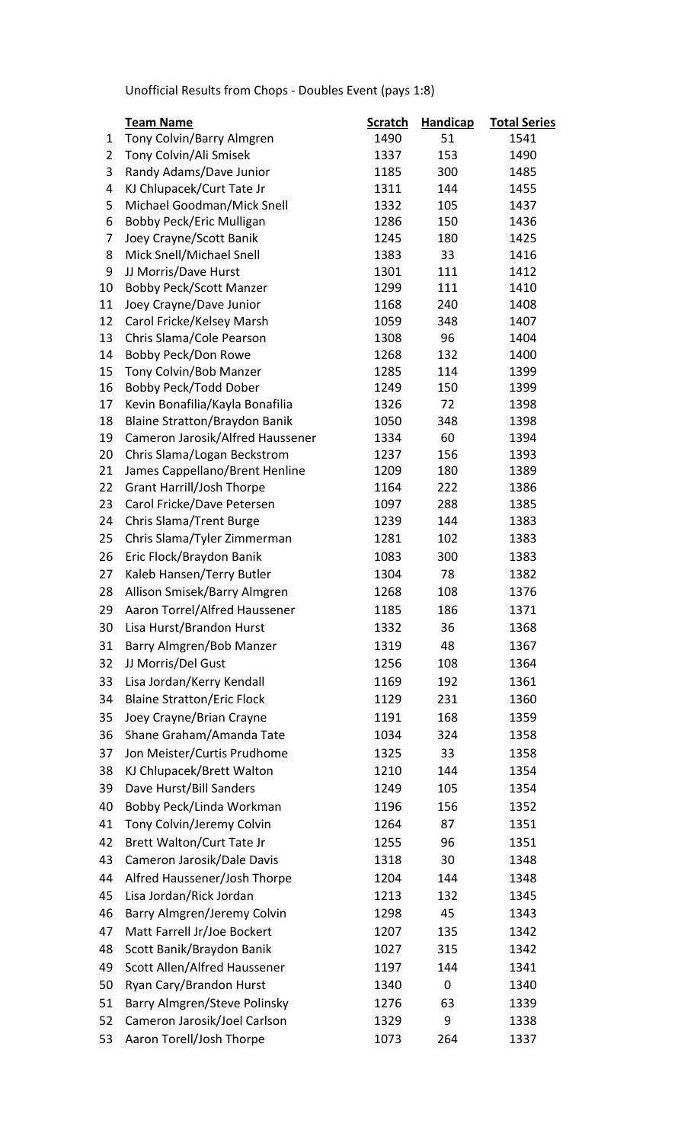Unofficial Results from Chops - Doubles Event (pays 1:8)

|                | <b>Team Name</b>                     | <b>Scratch</b> | <b>Handicap</b> | <b>Total Series</b> |
|----------------|--------------------------------------|----------------|-----------------|---------------------|
| 1              | Tony Colvin/Barry Almgren            | 1490           | 51              | 1541                |
| $\overline{2}$ | Tony Colvin/Ali Smisek               | 1337           | 153             | 1490                |
| 3              | Randy Adams/Dave Junior              | 1185           | 300             | 1485                |
| 4              | KJ Chlupacek/Curt Tate Jr            | 1311           | 144             | 1455                |
| 5              | Michael Goodman/Mick Snell           | 1332           | 105             | 1437                |
| 6              | Bobby Peck/Eric Mulligan             | 1286           | 150             | 1436                |
| 7              | Joey Crayne/Scott Banik              | 1245           | 180             | 1425                |
| 8              | Mick Snell/Michael Snell             | 1383           | 33              | 1416                |
| 9              | JJ Morris/Dave Hurst                 | 1301           | 111             | 1412                |
| 10             | <b>Bobby Peck/Scott Manzer</b>       | 1299           | 111             | 1410                |
| 11             | Joey Crayne/Dave Junior              | 1168           | 240             | 1408                |
| 12             | Carol Fricke/Kelsey Marsh            | 1059           | 348             | 1407                |
| 13             | Chris Slama/Cole Pearson             | 1308           | 96              | 1404                |
| 14             | Bobby Peck/Don Rowe                  | 1268           | 132             | 1400                |
| 15             | Tony Colvin/Bob Manzer               | 1285           | 114             | 1399                |
| 16             | Bobby Peck/Todd Dober                | 1249           | 150             | 1399                |
| 17             | Kevin Bonafilia/Kayla Bonafilia      | 1326           | 72              | 1398                |
| 18             | <b>Blaine Stratton/Braydon Banik</b> | 1050           | 348             | 1398                |
| 19             | Cameron Jarosik/Alfred Haussener     | 1334           | 60              | 1394                |
| 20             | Chris Slama/Logan Beckstrom          | 1237           | 156             | 1393                |
| 21             | James Cappellano/Brent Henline       | 1209           | 180             | 1389                |
| 22             | <b>Grant Harrill/Josh Thorpe</b>     | 1164<br>1097   | 222<br>288      | 1386                |
| 23<br>24       | Carol Fricke/Dave Petersen           | 1239           | 144             | 1385<br>1383        |
|                | Chris Slama/Trent Burge              |                |                 |                     |
| 25             | Chris Slama/Tyler Zimmerman          | 1281           | 102             | 1383                |
| 26             | Eric Flock/Braydon Banik             | 1083           | 300             | 1383                |
| 27             | Kaleb Hansen/Terry Butler            | 1304           | 78              | 1382                |
| 28             | Allison Smisek/Barry Almgren         | 1268           | 108             | 1376                |
| 29             | Aaron Torrel/Alfred Haussener        | 1185           | 186             | 1371                |
| 30             | Lisa Hurst/Brandon Hurst             | 1332           | 36              | 1368                |
| 31             | Barry Almgren/Bob Manzer             | 1319           | 48              | 1367                |
| 32             | JJ Morris/Del Gust                   | 1256           | 108             | 1364                |
| 33             | Lisa Jordan/Kerry Kendall            | 1169           | 192             | 1361                |
| 34             | <b>Blaine Stratton/Eric Flock</b>    | 1129           | 231             | 1360                |
| 35             | Joey Crayne/Brian Crayne             | 1191           | 168             | 1359                |
| 36             | Shane Graham/Amanda Tate             | 1034           | 324             | 1358                |
| 37             | Jon Meister/Curtis Prudhome          | 1325           | 33              | 1358                |
| 38             | KJ Chlupacek/Brett Walton            | 1210           | 144             | 1354                |
| 39             | Dave Hurst/Bill Sanders              | 1249           | 105             | 1354                |
| 40             | Bobby Peck/Linda Workman             | 1196           | 156             | 1352                |
| 41             | Tony Colvin/Jeremy Colvin            | 1264           | 87              | 1351                |
| 42             | Brett Walton/Curt Tate Jr            | 1255           | 96              | 1351                |
| 43             | Cameron Jarosik/Dale Davis           | 1318           | 30              | 1348                |
| 44             | Alfred Haussener/Josh Thorpe         | 1204           | 144             | 1348                |
| 45             | Lisa Jordan/Rick Jordan              | 1213           | 132             | 1345                |
| 46             | Barry Almgren/Jeremy Colvin          | 1298           | 45              | 1343                |
| 47             | Matt Farrell Jr/Joe Bockert          | 1207           | 135             | 1342                |
| 48             |                                      |                |                 | 1342                |
|                | Scott Banik/Braydon Banik            | 1027           | 315             |                     |
| 49             | Scott Allen/Alfred Haussener         | 1197           | 144             | 1341                |
| 50             | Ryan Cary/Brandon Hurst              | 1340           | 0               | 1340                |
| 51             | Barry Almgren/Steve Polinsky         | 1276           | 63              | 1339                |
| 52             | Cameron Jarosik/Joel Carlson         | 1329           | 9               | 1338                |
| 53             | Aaron Torell/Josh Thorpe             | 1073           | 264             | 1337                |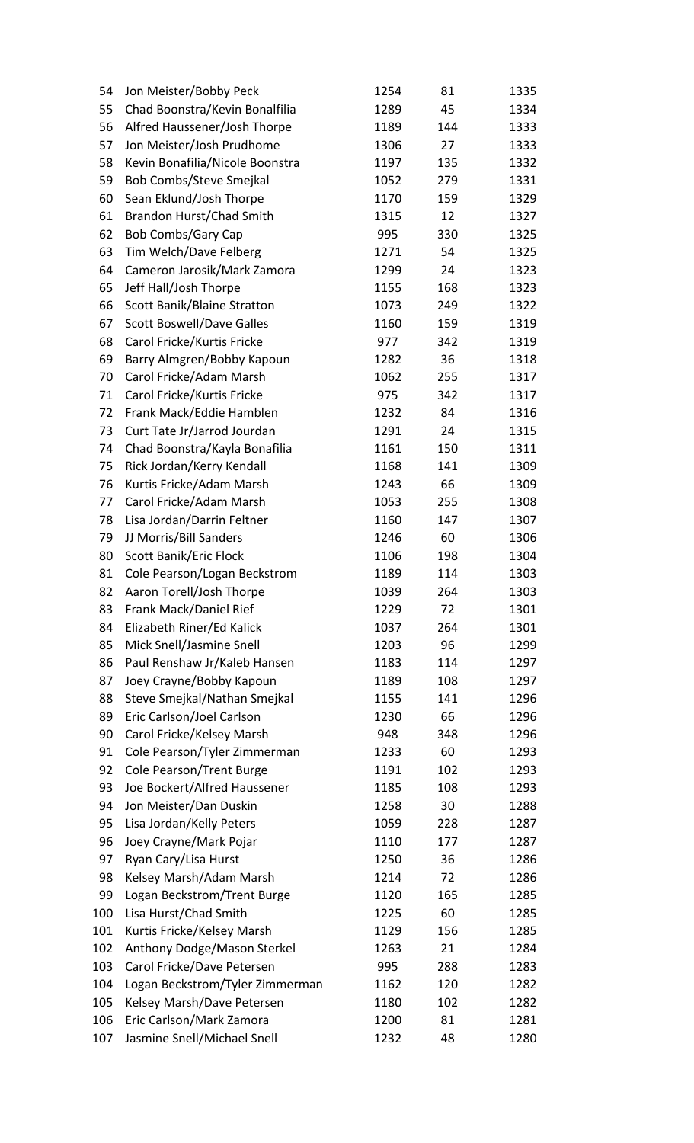| 54  | Jon Meister/Bobby Peck           | 1254 | 81  | 1335 |
|-----|----------------------------------|------|-----|------|
| 55  | Chad Boonstra/Kevin Bonalfilia   | 1289 | 45  | 1334 |
| 56  | Alfred Haussener/Josh Thorpe     | 1189 | 144 | 1333 |
| 57  | Jon Meister/Josh Prudhome        | 1306 | 27  | 1333 |
| 58  | Kevin Bonafilia/Nicole Boonstra  | 1197 | 135 | 1332 |
| 59  | Bob Combs/Steve Smejkal          | 1052 | 279 | 1331 |
| 60  | Sean Eklund/Josh Thorpe          | 1170 | 159 | 1329 |
| 61  | Brandon Hurst/Chad Smith         | 1315 | 12  | 1327 |
| 62  | <b>Bob Combs/Gary Cap</b>        | 995  | 330 | 1325 |
| 63  | Tim Welch/Dave Felberg           | 1271 | 54  | 1325 |
| 64  | Cameron Jarosik/Mark Zamora      | 1299 | 24  | 1323 |
| 65  | Jeff Hall/Josh Thorpe            | 1155 | 168 | 1323 |
| 66  | Scott Banik/Blaine Stratton      | 1073 | 249 | 1322 |
| 67  | <b>Scott Boswell/Dave Galles</b> | 1160 | 159 | 1319 |
| 68  | Carol Fricke/Kurtis Fricke       | 977  | 342 | 1319 |
| 69  | Barry Almgren/Bobby Kapoun       | 1282 | 36  | 1318 |
| 70  | Carol Fricke/Adam Marsh          | 1062 | 255 | 1317 |
| 71  | Carol Fricke/Kurtis Fricke       | 975  | 342 | 1317 |
| 72  | Frank Mack/Eddie Hamblen         | 1232 | 84  | 1316 |
| 73  | Curt Tate Jr/Jarrod Jourdan      | 1291 | 24  | 1315 |
| 74  | Chad Boonstra/Kayla Bonafilia    | 1161 | 150 | 1311 |
| 75  | Rick Jordan/Kerry Kendall        | 1168 | 141 | 1309 |
| 76  | Kurtis Fricke/Adam Marsh         | 1243 | 66  | 1309 |
| 77  | Carol Fricke/Adam Marsh          | 1053 | 255 | 1308 |
| 78  | Lisa Jordan/Darrin Feltner       | 1160 | 147 | 1307 |
| 79  | JJ Morris/Bill Sanders           | 1246 | 60  | 1306 |
| 80  | Scott Banik/Eric Flock           | 1106 | 198 | 1304 |
| 81  | Cole Pearson/Logan Beckstrom     | 1189 | 114 | 1303 |
| 82  | Aaron Torell/Josh Thorpe         | 1039 | 264 | 1303 |
| 83  | Frank Mack/Daniel Rief           | 1229 | 72  | 1301 |
| 84  | Elizabeth Riner/Ed Kalick        | 1037 | 264 | 1301 |
| 85  | Mick Snell/Jasmine Snell         | 1203 | 96  | 1299 |
| 86  | Paul Renshaw Jr/Kaleb Hansen     | 1183 | 114 | 1297 |
| 87  | Joey Crayne/Bobby Kapoun         | 1189 | 108 | 1297 |
| 88  | Steve Smejkal/Nathan Smejkal     | 1155 | 141 | 1296 |
| 89  | Eric Carlson/Joel Carlson        | 1230 | 66  | 1296 |
| 90  | Carol Fricke/Kelsey Marsh        | 948  | 348 | 1296 |
| 91  | Cole Pearson/Tyler Zimmerman     | 1233 | 60  | 1293 |
| 92  | Cole Pearson/Trent Burge         | 1191 | 102 | 1293 |
| 93  | Joe Bockert/Alfred Haussener     | 1185 | 108 | 1293 |
| 94  | Jon Meister/Dan Duskin           | 1258 | 30  | 1288 |
| 95  | Lisa Jordan/Kelly Peters         | 1059 | 228 | 1287 |
| 96  | Joey Crayne/Mark Pojar           | 1110 | 177 | 1287 |
| 97  | Ryan Cary/Lisa Hurst             | 1250 | 36  | 1286 |
| 98  | Kelsey Marsh/Adam Marsh          | 1214 | 72  | 1286 |
| 99  | Logan Beckstrom/Trent Burge      | 1120 | 165 | 1285 |
| 100 | Lisa Hurst/Chad Smith            | 1225 | 60  | 1285 |
| 101 | Kurtis Fricke/Kelsey Marsh       | 1129 | 156 | 1285 |
| 102 | Anthony Dodge/Mason Sterkel      | 1263 | 21  | 1284 |
| 103 | Carol Fricke/Dave Petersen       | 995  | 288 | 1283 |
| 104 | Logan Beckstrom/Tyler Zimmerman  | 1162 | 120 | 1282 |
| 105 | Kelsey Marsh/Dave Petersen       | 1180 | 102 | 1282 |
| 106 | Eric Carlson/Mark Zamora         | 1200 | 81  | 1281 |
| 107 | Jasmine Snell/Michael Snell      | 1232 | 48  | 1280 |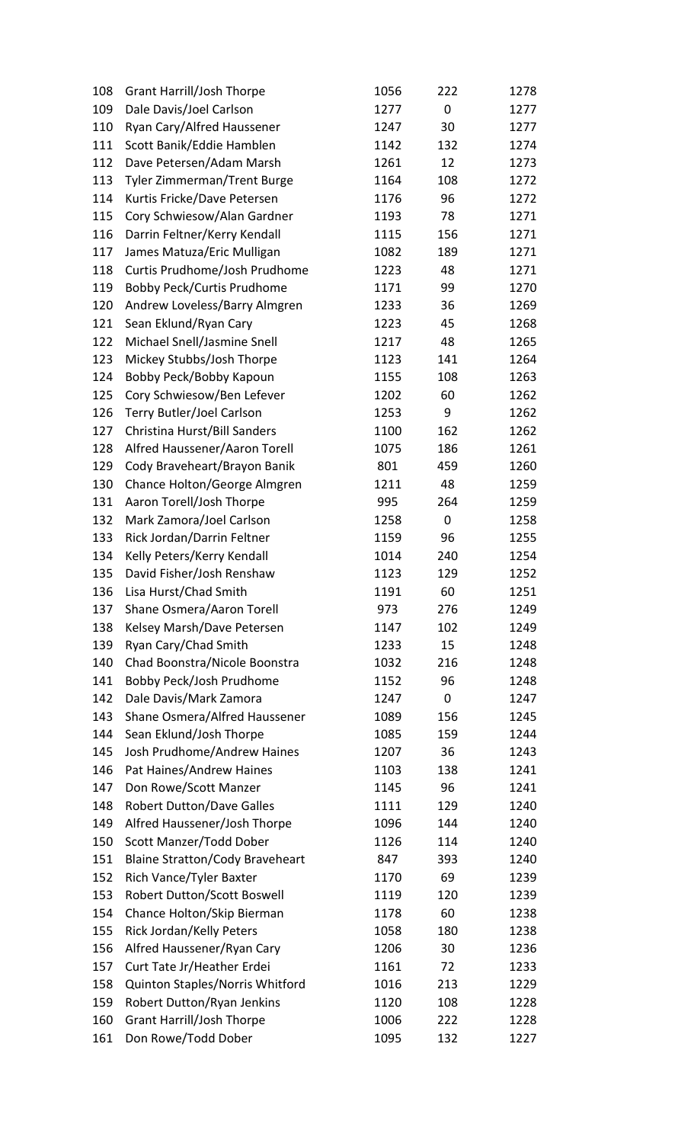| 108 | <b>Grant Harrill/Josh Thorpe</b>       | 1056 | 222         | 1278 |
|-----|----------------------------------------|------|-------------|------|
| 109 | Dale Davis/Joel Carlson                | 1277 | $\pmb{0}$   | 1277 |
| 110 | Ryan Cary/Alfred Haussener             | 1247 | 30          | 1277 |
| 111 | Scott Banik/Eddie Hamblen              | 1142 | 132         | 1274 |
| 112 | Dave Petersen/Adam Marsh               | 1261 | 12          | 1273 |
| 113 | Tyler Zimmerman/Trent Burge            | 1164 | 108         | 1272 |
| 114 | Kurtis Fricke/Dave Petersen            | 1176 | 96          | 1272 |
| 115 | Cory Schwiesow/Alan Gardner            | 1193 | 78          | 1271 |
| 116 | Darrin Feltner/Kerry Kendall           | 1115 | 156         | 1271 |
| 117 | James Matuza/Eric Mulligan             | 1082 | 189         | 1271 |
| 118 | Curtis Prudhome/Josh Prudhome          | 1223 | 48          | 1271 |
| 119 | <b>Bobby Peck/Curtis Prudhome</b>      | 1171 | 99          | 1270 |
| 120 | Andrew Loveless/Barry Almgren          | 1233 | 36          | 1269 |
| 121 | Sean Eklund/Ryan Cary                  | 1223 | 45          | 1268 |
| 122 | Michael Snell/Jasmine Snell            | 1217 | 48          | 1265 |
| 123 | Mickey Stubbs/Josh Thorpe              | 1123 | 141         | 1264 |
| 124 | Bobby Peck/Bobby Kapoun                | 1155 | 108         | 1263 |
| 125 | Cory Schwiesow/Ben Lefever             | 1202 | 60          | 1262 |
| 126 | Terry Butler/Joel Carlson              | 1253 | 9           | 1262 |
| 127 | Christina Hurst/Bill Sanders           | 1100 | 162         | 1262 |
| 128 | Alfred Haussener/Aaron Torell          | 1075 | 186         | 1261 |
| 129 | Cody Braveheart/Brayon Banik           | 801  | 459         | 1260 |
| 130 | Chance Holton/George Almgren           | 1211 | 48          | 1259 |
| 131 | Aaron Torell/Josh Thorpe               | 995  | 264         | 1259 |
| 132 | Mark Zamora/Joel Carlson               | 1258 | 0           | 1258 |
| 133 | Rick Jordan/Darrin Feltner             | 1159 | 96          | 1255 |
| 134 | Kelly Peters/Kerry Kendall             | 1014 | 240         | 1254 |
| 135 | David Fisher/Josh Renshaw              | 1123 | 129         | 1252 |
|     | 136 Lisa Hurst/Chad Smith              | 1191 | 60          | 1251 |
| 137 | Shane Osmera/Aaron Torell              | 973  | 276         | 1249 |
| 138 | Kelsey Marsh/Dave Petersen             | 1147 | 102         | 1249 |
| 139 | Ryan Cary/Chad Smith                   | 1233 | 15          | 1248 |
| 140 | Chad Boonstra/Nicole Boonstra          | 1032 | 216         | 1248 |
| 141 | Bobby Peck/Josh Prudhome               | 1152 | 96          | 1248 |
| 142 | Dale Davis/Mark Zamora                 | 1247 | $\mathbf 0$ | 1247 |
| 143 | Shane Osmera/Alfred Haussener          | 1089 | 156         | 1245 |
| 144 | Sean Eklund/Josh Thorpe                | 1085 | 159         | 1244 |
| 145 | Josh Prudhome/Andrew Haines            | 1207 | 36          | 1243 |
| 146 | Pat Haines/Andrew Haines               | 1103 | 138         | 1241 |
| 147 | Don Rowe/Scott Manzer                  | 1145 | 96          | 1241 |
| 148 | <b>Robert Dutton/Dave Galles</b>       | 1111 | 129         | 1240 |
| 149 | Alfred Haussener/Josh Thorpe           | 1096 | 144         | 1240 |
| 150 | Scott Manzer/Todd Dober                | 1126 | 114         | 1240 |
| 151 | <b>Blaine Stratton/Cody Braveheart</b> | 847  | 393         | 1240 |
| 152 | Rich Vance/Tyler Baxter                | 1170 | 69          | 1239 |
| 153 | <b>Robert Dutton/Scott Boswell</b>     | 1119 | 120         | 1239 |
| 154 | Chance Holton/Skip Bierman             | 1178 | 60          | 1238 |
| 155 | Rick Jordan/Kelly Peters               | 1058 | 180         | 1238 |
| 156 | Alfred Haussener/Ryan Cary             | 1206 | 30          | 1236 |
| 157 | Curt Tate Jr/Heather Erdei             | 1161 | 72          | 1233 |
| 158 | Quinton Staples/Norris Whitford        | 1016 | 213         | 1229 |
| 159 | Robert Dutton/Ryan Jenkins             | 1120 | 108         | 1228 |
| 160 | <b>Grant Harrill/Josh Thorpe</b>       | 1006 | 222         | 1228 |
| 161 | Don Rowe/Todd Dober                    | 1095 | 132         | 1227 |
|     |                                        |      |             |      |